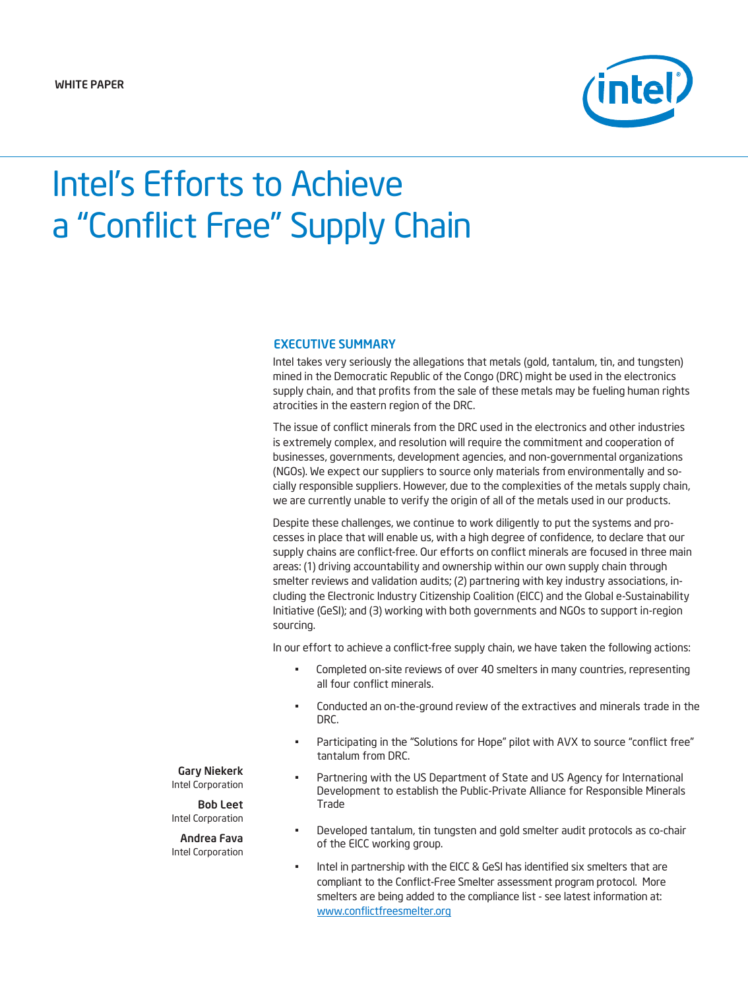

# Intel's Efforts to Achieve a "Conflict Free" Supply Chain

# EXECUTIVE SUMMARY

Intel takes very seriously the allegations that metals (gold, tantalum, tin, and tungsten) mined in the Democratic Republic of the Congo (DRC) might be used in the electronics supply chain, and that profits from the sale of these metals may be fueling human rights atrocities in the eastern region of the DRC.

The issue of conflict minerals from the DRC used in the electronics and other industries is extremely complex, and resolution will require the commitment and cooperation of businesses, governments, development agencies, and non-governmental organizations (NGOs). We expect our suppliers to source only materials from environmentally and socially responsible suppliers. However, due to the complexities of the metals supply chain, we are currently unable to verify the origin of all of the metals used in our products.

Despite these challenges, we continue to work diligently to put the systems and processes in place that will enable us, with a high degree of confidence, to declare that our supply chains are conflict-free. Our efforts on conflict minerals are focused in three main areas: (1) driving accountability and ownership within our own supply chain through smelter reviews and validation audits; (2) partnering with key industry associations, including the Electronic Industry Citizenship Coalition (EICC) and the Global e-Sustainability Initiative (GeSI); and (3) working with both governments and NGOs to support in-region sourcing.

In our effort to achieve a conflict-free supply chain, we have taken the following actions:

- Completed on-site reviews of over 40 smelters in many countries, representing all four conflict minerals.
- Conducted an on-the-ground review of the extractives and minerals trade in the DRC.
- Participating in the "Solutions for Hope" pilot with AVX to source "conflict free" tantalum from DRC.
- Partnering with the US Department of State and US Agency for International Development to establish the Public-Private Alliance for Responsible Minerals Trade
- Developed tantalum, tin tungsten and gold smelter audit protocols as co-chair of the EICC working group.
- Intel in partnership with the EICC & GeSI has identified six smelters that are compliant to the Conflict-Free Smelter assessment program protocol. More smelters are being added to the compliance list - see latest information at: [www.conflictfreesmelter.org](http://www.conflictfreesmelter.org/)

#### Gary Niekerk Intel Corporation

Bob Leet Intel Corporation

#### Andrea Fava Intel Corporation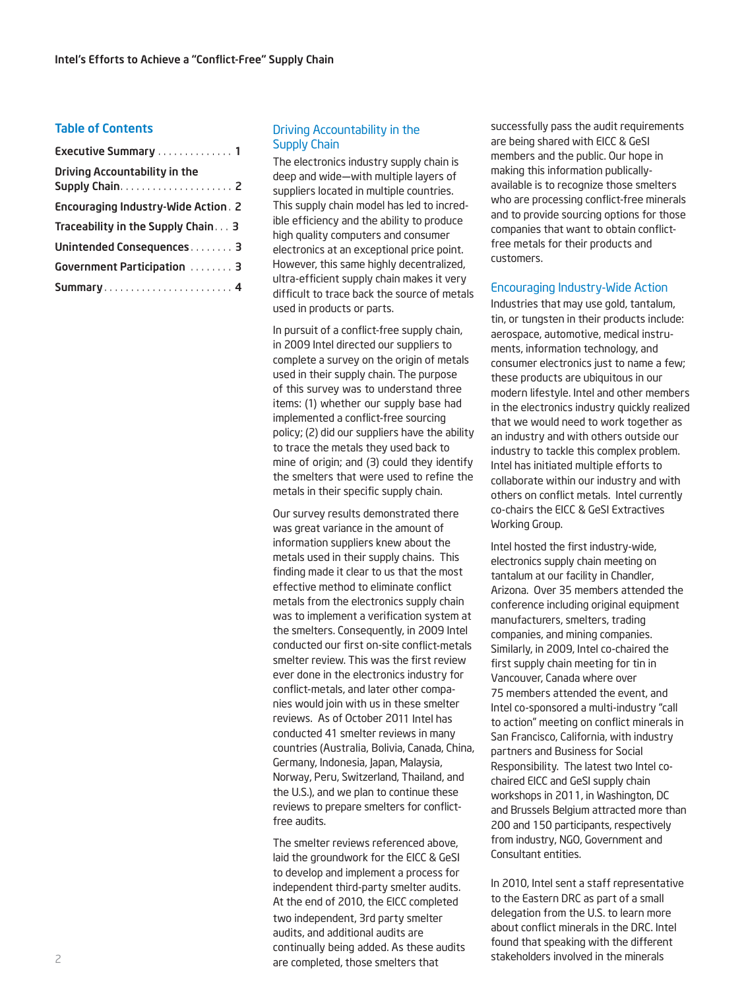#### Table of Contents

| Executive Summary  1                       |
|--------------------------------------------|
| <b>Driving Accountability in the</b>       |
| <b>Encouraging Industry-Wide Action. 2</b> |
| Traceability in the Supply Chain 3         |
| Unintended Consequences 3                  |
| Government Participation  3                |
| Summary 4                                  |

## Driving Accountability in the Supply Chain

The electronics industry supply chain is deep and wide—with multiple layers of suppliers located in multiple countries. This supply chain model has led to incredible efficiency and the ability to produce high quality computers and consumer electronics at an exceptional price point. However, this same highly decentralized, ultra-efficient supply chain makes it very difficult to trace back the source of metals used in products or parts.

In pursuit of a conflict-free supply chain, in 2009 Intel directed our suppliers to complete a survey on the origin of metals used in their supply chain. The purpose of this survey was to understand three items: (1) whether our supply base had implemented a conflict-free sourcing policy; (2) did our suppliers have the ability to trace the metals they used back to mine of origin; and (3) could they identify the smelters that were used to refine the metals in their specific supply chain.

Our survey results demonstrated there was great variance in the amount of information suppliers knew about the metals used in their supply chains. This finding made it clear to us that the most effective method to eliminate conflict metals from the electronics supply chain was to implement a verification system at the smelters. Consequently, in 2009 Intel conducted our first on-site conflict-metals smelter review. This was the first review ever done in the electronics industry for conflict-metals, and later other companies would join with us in these smelter reviews. As of October 2011 Intel has conducted 41 smelter reviews in many countries (Australia, Bolivia, Canada, China, Germany, Indonesia, Japan, Malaysia, Norway, Peru, Switzerland, Thailand, and the U.S.), and we plan to continue these reviews to prepare smelters for conflictfree audits.

The smelter reviews referenced above, laid the groundwork for the EICC & GeSI to develop and implement a process for independent third-party smelter audits. At the end of 2010, the EICC completed two independent, 3rd party smelter audits, and additional audits are continually being added. As these audits are completed, those smelters that

successfully pass the audit requirements are being shared with EICC & GeSI members and the public. Our hope in making this information publicallyavailable is to recognize those smelters who are processing conflict-free minerals and to provide sourcing options for those companies that want to obtain conflictfree metals for their products and customers.

### Encouraging Industry-Wide Action

Industries that may use gold, tantalum, tin, or tungsten in their products include: aerospace, automotive, medical instruments, information technology, and consumer electronics just to name a few; these products are ubiquitous in our modern lifestyle. Intel and other members in the electronics industry quickly realized that we would need to work together as an industry and with others outside our industry to tackle this complex problem. Intel has initiated multiple efforts to collaborate within our industry and with others on conflict metals. Intel currently co-chairs the EICC & GeSI Extractives Working Group.

Intel hosted the first industry-wide, electronics supply chain meeting on tantalum at our facility in Chandler, Arizona. Over 35 members attended the conference including original equipment manufacturers, smelters, trading companies, and mining companies. Similarly, in 2009, Intel co-chaired the first supply chain meeting for tin in Vancouver, Canada where over 75 members attended the event, and Intel co-sponsored a multi-industry "call to action" meeting on conflict minerals in San Francisco, California, with industry partners and Business for Social Responsibility. The latest two Intel cochaired EICC and GeSI supply chain workshops in 2011, in Washington, DC and Brussels Belgium attracted more than 200 and 150 participants, respectively from industry, NGO, Government and Consultant entities.

In 2010, Intel sent a staff representative to the Eastern DRC as part of a small delegation from the U.S. to learn more about conflict minerals in the DRC. Intel found that speaking with the different stakeholders involved in the minerals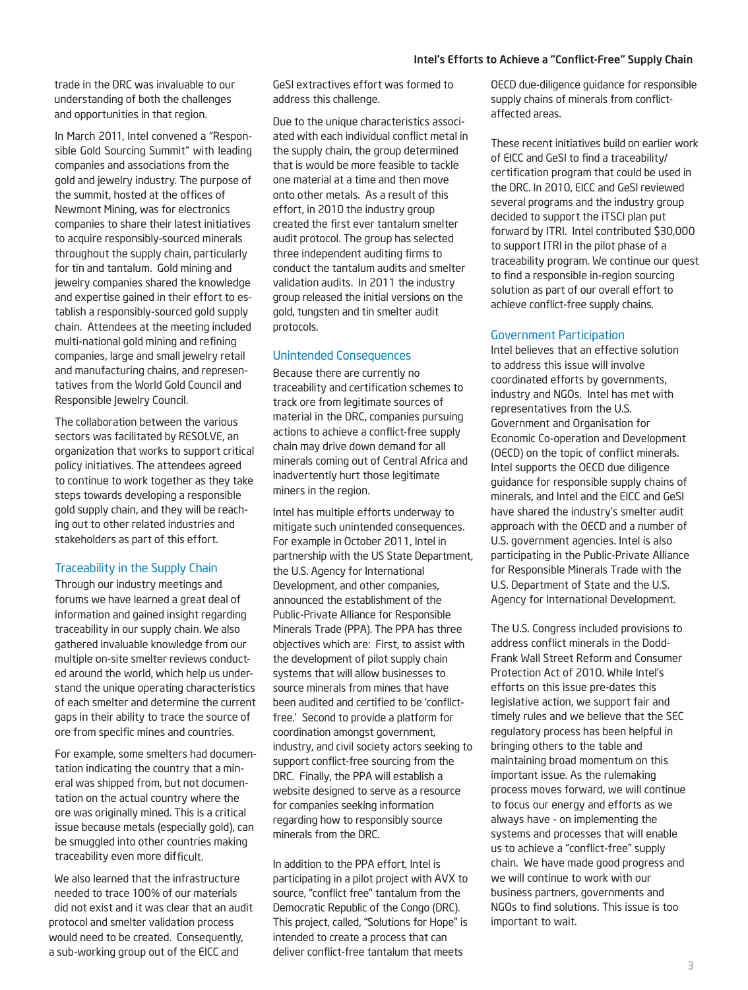trade in the DRC was invaluable to our understanding of both the challenges and opportunities in that region.

In March 2011, Intel convened a "Responsible Gold Sourcing Summit" with leading companies and associations from the gold and jewelry industry. The purpose of the summit, hosted at the offices of Newmont Mining, was for electronics companies to share their latest initiatives to acquire responsibly-sourced minerals throughout the supply chain, particularly for tin and tantalum. Gold mining and jewelry companies shared the knowledge and expertise gained in their effort to establish a responsibly-sourced gold supply chain. Attendees at the meeting included multi-national gold mining and refining companies, large and small jewelry retail and manufacturing chains, and representatives from the World Gold Council and Responsible Jewelry Council.

The collaboration between the various sectors was facilitated by RESOLVE, an organization that works to support critical policy initiatives. The attendees agreed to continue to work together as they take steps towards developing a responsible gold supply chain, and they will be reaching out to other related industries and stakeholders as part of this effort.

### Traceability in the Supply Chain

Through our industry meetings and forums we have learned a great deal of information and gained insight regarding traceability in our supply chain. We also gathered invaluable knowledge from our multiple on-site smelter reviews conducted around the world, which help us understand the unique operating characteristics of each smelter and determine the current gaps in their ability to trace the source of ore from specific mines and countries.

For example, some smelters had documentation indicating the country that a mineral was shipped from, but not documentation on the actual country where the ore was originally mined. This is a critical issue because metals (especially gold), can be smuggled into other countries making traceability even more difficult.

We also learned that the infrastructure needed to trace 100% of our materials did not exist and it was clear that an audit protocol and smelter validation process would need to be created. Consequently, a sub-working group out of the EICC and

GeSI extractives effort was formed to address this challenge.

Due to the unique characteristics associated with each individual conflict metal in the supply chain, the group determined that is would be more feasible to tackle one material at a time and then move onto other metals. As a result of this effort, in 2010 the industry group created the first ever tantalum smelter audit protocol. The group has selected three independent auditing firms to conduct the tantalum audits and smelter validation audits. In 2011 the industry group released the initial versions on the gold, tungsten and tin smelter audit protocols.

# Unintended Consequences

Because there are currently no traceability and certification schemes to track ore from legitimate sources of material in the DRC, companies pursuing actions to achieve a conflict-free supply chain may drive down demand for all minerals coming out of Central Africa and inadvertently hurt those legitimate miners in the region.

Intel has multiple efforts underway to mitigate such unintended consequences. For example in October 2011, Intel in partnership with the US State Department, the U.S. Agency for International Development, and other companies, announced the establishment of the Public-Private Alliance for Responsible Minerals Trade (PPA). The PPA has three objectives which are: First, to assist with the development of pilot supply chain systems that will allow businesses to source minerals from mines that have been audited and certified to be 'conflictfree.' Second to provide a platform for coordination amongst government, industry, and civil society actors seeking to support conflict-free sourcing from the DRC. Finally, the PPA will establish a website designed to serve as a resource for companies seeking information regarding how to responsibly source minerals from the DRC.

In addition to the PPA effort, Intel is participating in a pilot project with AVX to source, "conflict free" tantalum from the Democratic Republic of the Congo (DRC). This project, called, "Solutions for Hope" is intended to create a process that can deliver conflict-free tantalum that meets

OECD due-diligence guidance for responsible supply chains of minerals from conflictaffected areas.

These recent initiatives build on earlier work of EICC and GeSI to find a traceability/ certification program that could be used in the DRC. In 2010, EICC and GeSI reviewed several programs and the industry group decided to support the iTSCI plan put forward by ITRI. Intel contributed \$30,000 to support ITRI in the pilot phase of a traceability program. We continue our quest to find a responsible in-region sourcing solution as part of our overall effort to achieve conflict-free supply chains.

#### Government Participation

Intel believes that an effective solution to address this issue will involve coordinated efforts by governments, industry and NGOs. Intel has met with representatives from the U.S. Government and Organisation for Economic Co-operation and Development (OECD) on the topic of conflict minerals. Intel supports the OECD due diligence guidance for responsible supply chains of minerals, and Intel and the EICC and GeSI have shared the industry's smelter audit approach with the OECD and a number of U.S. government agencies. Intel is also participating in the Public-Private Alliance for Responsible Minerals Trade with the U.S. Department of State and the U.S. Agency for International Development.

The U.S. Congress included provisions to address conflict minerals in the Dodd-Frank Wall Street Reform and Consumer Protection Act of 2010. While Intel's efforts on this issue pre-dates this legislative action, we support fair and timely rules and we believe that the SEC regulatory process has been helpful in bringing others to the table and maintaining broad momentum on this important issue. As the rulemaking process moves forward, we will continue to focus our energy and efforts as we always have - on implementing the systems and processes that will enable us to achieve a "conflict-free" supply chain. We have made good progress and we will continue to work with our business partners, governments and NGOs to find solutions. This issue is too important to wait.